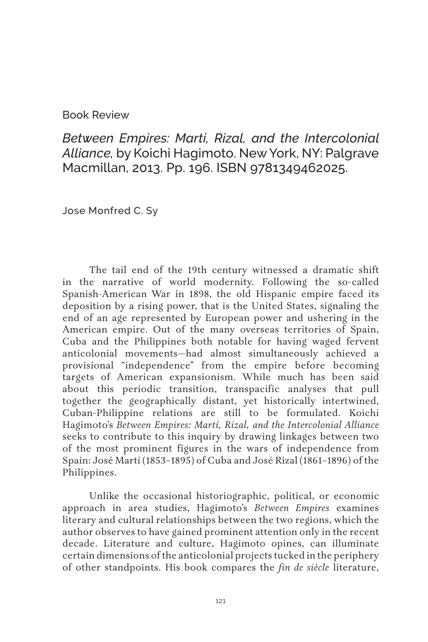## Book Review

*Between Empires: Martí, Rizal, and the Intercolonial Alliance,* by Koichi Hagimoto. New York, NY: Palgrave Macmillan, 2013. Pp. 196. ISBN 9781349462025.

Jose Monfred C. Sy

The tail end of the 19th century witnessed a dramatic shift in the narrative of world modernity. Following the so-called Spanish-American War in 1898, the old Hispanic empire faced its deposition by a rising power, that is the United States, signaling the end of an age represented by European power and ushering in the American empire. Out of the many overseas territories of Spain, Cuba and the Philippines both notable for having waged fervent anticolonial movements—had almost simultaneously achieved a provisional "independence" from the empire before becoming targets of American expansionism. While much has been said about this periodic transition, transpacific analyses that pull together the geographically distant, yet historically intertwined, Cuban-Philippine relations are still to be formulated. Koichi Hagimoto's *Between Empires: Martí, Rizal, and the Intercolonial Alliance*  seeks to contribute to this inquiry by drawing linkages between two of the most prominent figures in the wars of independence from Spain: José Martí (1853–1895) of Cuba and José Rizal (1861–1896) of the Philippines.

Unlike the occasional historiographic, political, or economic approach in area studies, Hagimoto's *Between Empires* examines literary and cultural relationships between the two regions, which the author observes to have gained prominent attention only in the recent decade. Literature and culture, Hagimoto opines, can illuminate certain dimensions of the anticolonial projects tucked in the periphery of other standpoints. His book compares the *fin de siècle* literature,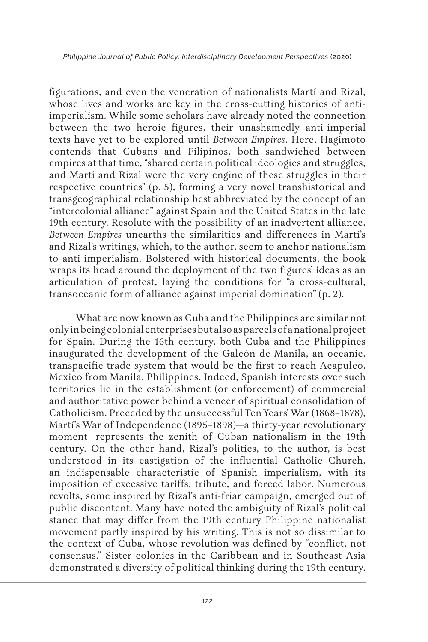figurations, and even the veneration of nationalists Martí and Rizal, whose lives and works are key in the cross-cutting histories of antiimperialism. While some scholars have already noted the connection between the two heroic figures, their unashamedly anti-imperial texts have yet to be explored until *Between Empires*. Here, Hagimoto contends that Cubans and Filipinos, both sandwiched between empires at that time, "shared certain political ideologies and struggles, and Martí and Rizal were the very engine of these struggles in their respective countries" (p. 5), forming a very novel transhistorical and transgeographical relationship best abbreviated by the concept of an "intercolonial alliance" against Spain and the United States in the late 19th century. Resolute with the possibility of an inadvertent alliance, *Between Empires* unearths the similarities and differences in Martí's and Rizal's writings, which, to the author, seem to anchor nationalism to anti-imperialism. Bolstered with historical documents, the book wraps its head around the deployment of the two figures' ideas as an articulation of protest, laying the conditions for "a cross-cultural, transoceanic form of alliance against imperial domination" (p. 2).

What are now known as Cuba and the Philippines are similar not only in being colonial enterprises but also as parcels of a national project for Spain. During the 16th century, both Cuba and the Philippines inaugurated the development of the Galeón de Manila, an oceanic, transpacific trade system that would be the first to reach Acapulco, Mexico from Manila, Philippines. Indeed, Spanish interests over such territories lie in the establishment (or enforcement) of commercial and authoritative power behind a veneer of spiritual consolidation of Catholicism. Preceded by the unsuccessful Ten Years' War (1868–1878), Martí's War of Independence (1895–1898)—a thirty-year revolutionary moment—represents the zenith of Cuban nationalism in the 19th century. On the other hand, Rizal's politics, to the author, is best understood in its castigation of the influential Catholic Church, an indispensable characteristic of Spanish imperialism, with its imposition of excessive tariffs, tribute, and forced labor. Numerous revolts, some inspired by Rizal's anti-friar campaign, emerged out of public discontent. Many have noted the ambiguity of Rizal's political stance that may differ from the 19th century Philippine nationalist movement partly inspired by his writing. This is not so dissimilar to the context of Cuba, whose revolution was defined by "conflict, not consensus." Sister colonies in the Caribbean and in Southeast Asia demonstrated a diversity of political thinking during the 19th century.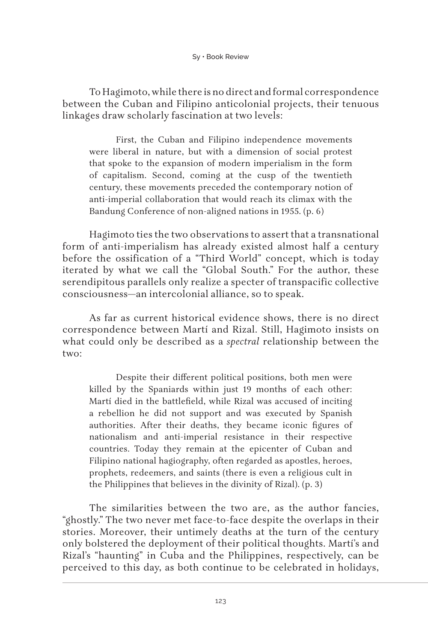To Hagimoto, while there is no direct and formal correspondence between the Cuban and Filipino anticolonial projects, their tenuous linkages draw scholarly fascination at two levels:

First, the Cuban and Filipino independence movements were liberal in nature, but with a dimension of social protest that spoke to the expansion of modern imperialism in the form of capitalism. Second, coming at the cusp of the twentieth century, these movements preceded the contemporary notion of anti-imperial collaboration that would reach its climax with the Bandung Conference of non-aligned nations in 1955. (p. 6)

Hagimoto ties the two observations to assert that a transnational form of anti-imperialism has already existed almost half a century before the ossification of a "Third World" concept, which is today iterated by what we call the "Global South." For the author, these serendipitous parallels only realize a specter of transpacific collective consciousness—an intercolonial alliance, so to speak.

As far as current historical evidence shows, there is no direct correspondence between Martí and Rizal. Still, Hagimoto insists on what could only be described as a *spectral* relationship between the two:

Despite their different political positions, both men were killed by the Spaniards within just 19 months of each other: Martí died in the battlefield, while Rizal was accused of inciting a rebellion he did not support and was executed by Spanish authorities. After their deaths, they became iconic figures of nationalism and anti-imperial resistance in their respective countries. Today they remain at the epicenter of Cuban and Filipino national hagiography, often regarded as apostles, heroes, prophets, redeemers, and saints (there is even a religious cult in the Philippines that believes in the divinity of Rizal). (p. 3)

The similarities between the two are, as the author fancies, "ghostly." The two never met face-to-face despite the overlaps in their stories. Moreover, their untimely deaths at the turn of the century only bolstered the deployment of their political thoughts. Martí's and Rizal's "haunting" in Cuba and the Philippines, respectively, can be perceived to this day, as both continue to be celebrated in holidays,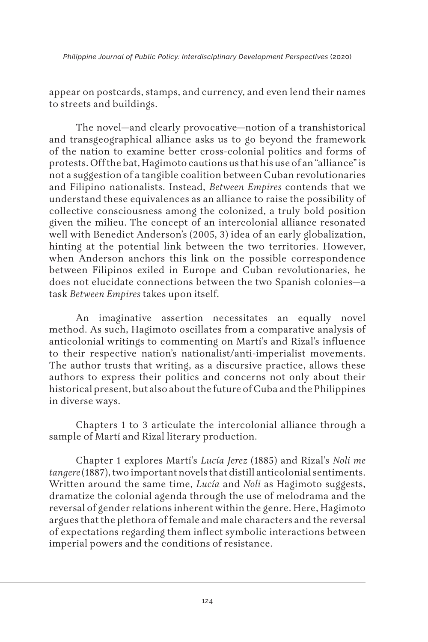*Philippine Journal of Public Policy: Interdisciplinary Development Perspectives* (2020)

appear on postcards, stamps, and currency, and even lend their names to streets and buildings.

The novel—and clearly provocative—notion of a transhistorical and transgeographical alliance asks us to go beyond the framework of the nation to examine better cross-colonial politics and forms of protests. Off the bat, Hagimoto cautions us that his use of an "alliance" is not a suggestion of a tangible coalition between Cuban revolutionaries and Filipino nationalists. Instead, *Between Empires* contends that we understand these equivalences as an alliance to raise the possibility of collective consciousness among the colonized, a truly bold position given the milieu. The concept of an intercolonial alliance resonated well with Benedict Anderson's (2005, 3) idea of an early globalization, hinting at the potential link between the two territories. However, when Anderson anchors this link on the possible correspondence between Filipinos exiled in Europe and Cuban revolutionaries, he does not elucidate connections between the two Spanish colonies—a task *Between Empires* takes upon itself.

An imaginative assertion necessitates an equally novel method. As such, Hagimoto oscillates from a comparative analysis of anticolonial writings to commenting on Martí's and Rizal's influence to their respective nation's nationalist/anti-imperialist movements. The author trusts that writing, as a discursive practice, allows these authors to express their politics and concerns not only about their historical present, but also about the future of Cuba and the Philippines in diverse ways.

Chapters 1 to 3 articulate the intercolonial alliance through a sample of Martí and Rizal literary production.

Chapter 1 explores Martí's *Lucía Jerez* (1885) and Rizal's *Noli me tangere* (1887), two important novels that distill anticolonial sentiments. Written around the same time, *Lucía* and *Noli* as Hagimoto suggests, dramatize the colonial agenda through the use of melodrama and the reversal of gender relations inherent within the genre. Here, Hagimoto argues that the plethora of female and male characters and the reversal of expectations regarding them inflect symbolic interactions between imperial powers and the conditions of resistance.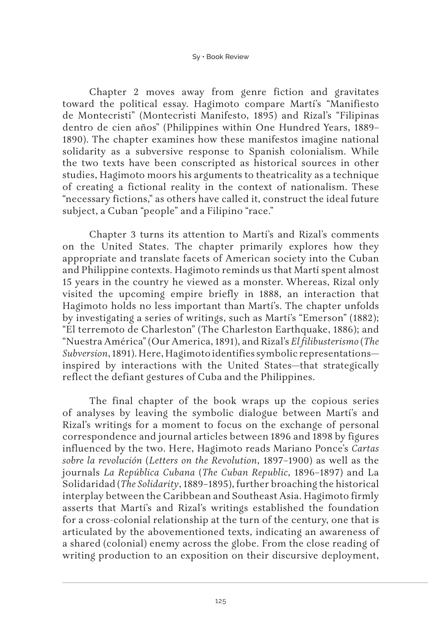Chapter 2 moves away from genre fiction and gravitates toward the political essay. Hagimoto compare Martí's "Manifiesto de Montecristi" (Montecristi Manifesto, 1895) and Rizal's "Filipinas dentro de cien años" (Philippines within One Hundred Years, 1889– 1890). The chapter examines how these manifestos imagine national solidarity as a subversive response to Spanish colonialism. While the two texts have been conscripted as historical sources in other studies, Hagimoto moors his arguments to theatricality as a technique of creating a fictional reality in the context of nationalism. These "necessary fictions," as others have called it, construct the ideal future subject, a Cuban "people" and a Filipino "race."

Chapter 3 turns its attention to Martí's and Rizal's comments on the United States. The chapter primarily explores how they appropriate and translate facets of American society into the Cuban and Philippine contexts. Hagimoto reminds us that Martí spent almost 15 years in the country he viewed as a monster. Whereas, Rizal only visited the upcoming empire briefly in 1888, an interaction that Hagimoto holds no less important than Martí's. The chapter unfolds by investigating a series of writings, such as Martí's "Emerson" (1882); "El terremoto de Charleston" (The Charleston Earthquake, 1886); and "Nuestra América" (Our America, 1891), and Rizal's *El filibusterismo* (*The Subversion*, 1891). Here, Hagimoto identifies symbolic representations inspired by interactions with the United States—that strategically reflect the defiant gestures of Cuba and the Philippines.

The final chapter of the book wraps up the copious series of analyses by leaving the symbolic dialogue between Martí's and Rizal's writings for a moment to focus on the exchange of personal correspondence and journal articles between 1896 and 1898 by figures influenced by the two. Here, Hagimoto reads Mariano Ponce's *Cartas sobre la revolución* (*Letters on the Revolution*, 1897–1900) as well as the journals *La República Cubana* (*The Cuban Republic*, 1896–1897) and La Solidaridad (*The Solidarity*, 1889–1895), further broaching the historical interplay between the Caribbean and Southeast Asia. Hagimoto firmly asserts that Martí's and Rizal's writings established the foundation for a cross-colonial relationship at the turn of the century, one that is articulated by the abovementioned texts, indicating an awareness of a shared (colonial) enemy across the globe. From the close reading of writing production to an exposition on their discursive deployment,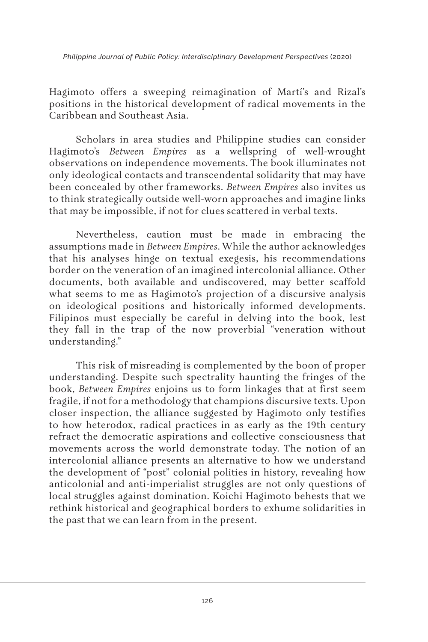*Philippine Journal of Public Policy: Interdisciplinary Development Perspectives* (2020)

Hagimoto offers a sweeping reimagination of Martí's and Rizal's positions in the historical development of radical movements in the Caribbean and Southeast Asia.

Scholars in area studies and Philippine studies can consider Hagimoto's *Between Empires* as a wellspring of well-wrought observations on independence movements. The book illuminates not only ideological contacts and transcendental solidarity that may have been concealed by other frameworks. *Between Empires* also invites us to think strategically outside well-worn approaches and imagine links that may be impossible, if not for clues scattered in verbal texts.

Nevertheless, caution must be made in embracing the assumptions made in *Between Empires*. While the author acknowledges that his analyses hinge on textual exegesis, his recommendations border on the veneration of an imagined intercolonial alliance. Other documents, both available and undiscovered, may better scaffold what seems to me as Hagimoto's projection of a discursive analysis on ideological positions and historically informed developments. Filipinos must especially be careful in delving into the book, lest they fall in the trap of the now proverbial "veneration without understanding."

This risk of misreading is complemented by the boon of proper understanding. Despite such spectrality haunting the fringes of the book, *Between Empires* enjoins us to form linkages that at first seem fragile, if not for a methodology that champions discursive texts. Upon closer inspection, the alliance suggested by Hagimoto only testifies to how heterodox, radical practices in as early as the 19th century refract the democratic aspirations and collective consciousness that movements across the world demonstrate today. The notion of an intercolonial alliance presents an alternative to how we understand the development of "post" colonial polities in history, revealing how anticolonial and anti-imperialist struggles are not only questions of local struggles against domination. Koichi Hagimoto behests that we rethink historical and geographical borders to exhume solidarities in the past that we can learn from in the present.